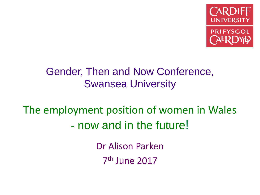

## Gender, Then and Now Conference, Swansea University

The employment position of women in Wales - now and in the future!

> Dr Alison Parken 7 th June 2017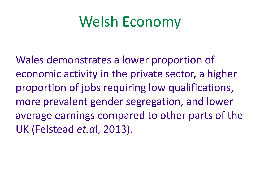# Welsh Economy

Wales demonstrates a lower proportion of economic activity in the private sector, a higher proportion of jobs requiring low qualifications, more prevalent gender segregation, and lower average earnings compared to other parts of the UK (Felstead *et.a*l, 2013).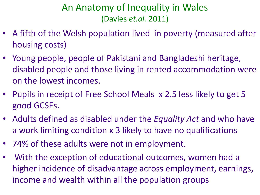## An Anatomy of Inequality in Wales (Davies *et.al.* 2011)

- A fifth of the Welsh population lived in poverty (measured after housing costs)
- Young people, people of Pakistani and Bangladeshi heritage, disabled people and those living in rented accommodation were on the lowest incomes.
- Pupils in receipt of Free School Meals x 2.5 less likely to get 5 good GCSEs.
- Adults defined as disabled under the *Equality Act* and who have a work limiting condition x 3 likely to have no qualifications
- 74% of these adults were not in employment.
- With the exception of educational outcomes, women had a higher incidence of disadvantage across employment, earnings, income and wealth within all the population groups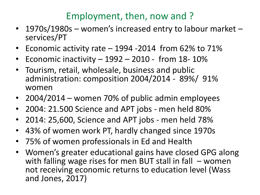#### Employment, then, now and ?

- 1970s/1980s women's increased entry to labour market services/PT
- Economic activity rate 1994 -2014 from 62% to 71%
- Economic inactivity  $-1992 2010$  from 18-10%
- Tourism, retail, wholesale, business and public administration: composition 2004/2014 - 89%/ 91% women
- 2004/2014 women 70% of public admin employees
- 2004: 21.500 Science and APT jobs men held 80%
- 2014: 25,600, Science and APT jobs men held 78%
- 43% of women work PT, hardly changed since 1970s
- 75% of women professionals in Ed and Health
- Women's greater educational gains have closed GPG along with falling wage rises for men BUT stall in fall – women not receiving economic returns to education level (Wass and Jones, 2017)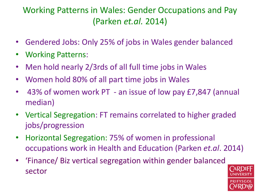#### Working Patterns in Wales: Gender Occupations and Pay (Parken *et.al.* 2014)

- Gendered Jobs: Only 25% of jobs in Wales gender balanced
- Working Patterns:
- Men hold nearly 2/3rds of all full time jobs in Wales
- Women hold 80% of all part time jobs in Wales
- 43% of women work PT an issue of low pay £7,847 (annual median)
- Vertical Segregation: FT remains correlated to higher graded jobs/progression
- Horizontal Segregation: 75% of women in professional occupations work in Health and Education (Parken *et.al*. 2014)
- 'Finance/ Biz vertical segregation within gender balanced sector

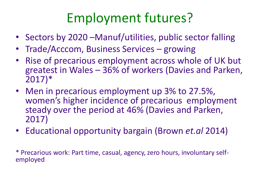## Employment futures?

- Sectors by 2020 Manuf/utilities, public sector falling
- Trade/Acccom, Business Services growing
- Rise of precarious employment across whole of UK but greatest in Wales – 36% of workers (Davies and Parken, 2017)\*
- Men in precarious employment up 3% to 27.5%, women's higher incidence of precarious employment steady over the period at 46% (Davies and Parken, 2017)
- Educational opportunity bargain (Brown *et.al* 2014)

\* Precarious work: Part time, casual, agency, zero hours, involuntary selfemployed